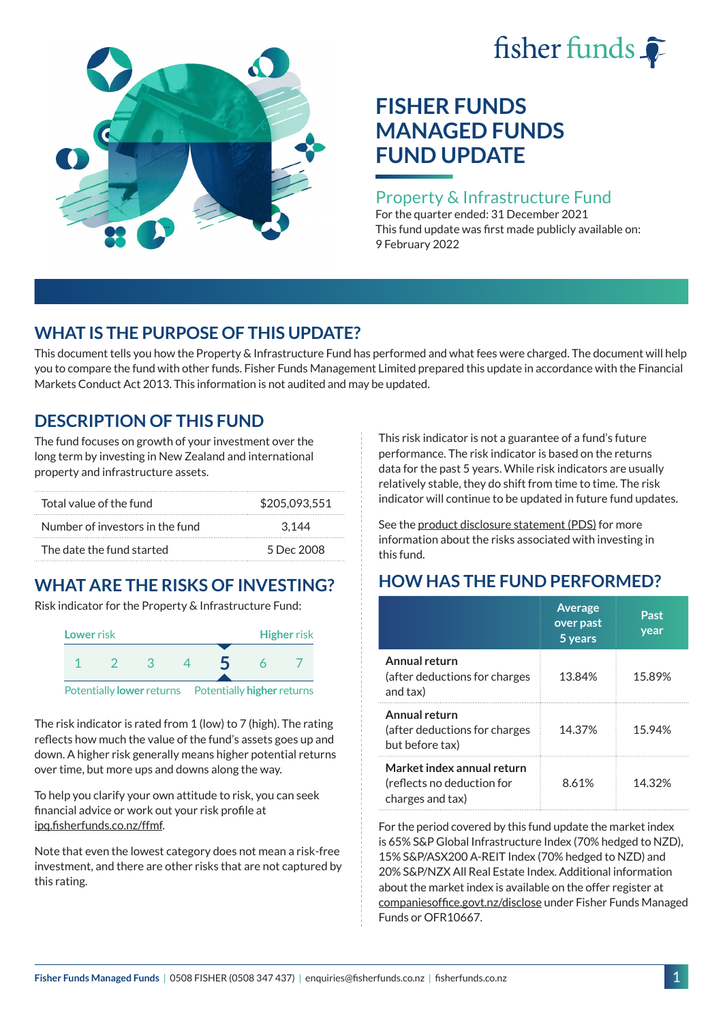# fisher funds  $\hat{\bullet}$



# **FISHER FUNDS MANAGED FUNDS FUND UPDATE**

## Property & Infrastructure Fund

For the quarter ended: 31 December 2021 This fund update was first made publicly available on: 9 February 2022

## **WHAT IS THE PURPOSE OF THIS UPDATE?**

This document tells you how the Property & Infrastructure Fund has performed and what fees were charged. The document will help you to compare the fund with other funds. Fisher Funds Management Limited prepared this update in accordance with the Financial Markets Conduct Act 2013. This information is not audited and may be updated.

## **DESCRIPTION OF THIS FUND**

The fund focuses on growth of your investment over the long term by investing in New Zealand and international property and infrastructure assets.

| Total value of the fund         | \$205.093.551 |  |  |
|---------------------------------|---------------|--|--|
| Number of investors in the fund | 3.144         |  |  |
| The date the fund started       | 5 Dec 2008    |  |  |

# **WHAT ARE THE RISKS OF INVESTING?**

Risk indicator for the Property & Infrastructure Fund:



The risk indicator is rated from 1 (low) to 7 (high). The rating reflects how much the value of the fund's assets goes up and down. A higher risk generally means higher potential returns over time, but more ups and downs along the way.

To help you clarify your own attitude to risk, you can seek financial advice or work out your risk profile at [ipq.fisherfunds.co.nz/ffmf](https://ipq.fisherfunds.co.nz/ffmf).

Note that even the lowest category does not mean a risk-free investment, and there are other risks that are not captured by this rating.

This risk indicator is not a guarantee of a fund's future performance. The risk indicator is based on the returns data for the past 5 years. While risk indicators are usually relatively stable, they do shift from time to time. The risk indicator will continue to be updated in future fund updates.

See the [product disclosure statement \(PDS\)](https://fisherfunds.co.nz/assets/PDS/Fisher-Funds-Managed-Funds-PDS.pdf) for more information about the risks associated with investing in this fund.

# **HOW HAS THE FUND PERFORMED?**

|                                                                              | <b>Average</b><br>over past<br>5 years | Past<br>year |
|------------------------------------------------------------------------------|----------------------------------------|--------------|
| Annual return<br>(after deductions for charges<br>and tax)                   | 13.84%                                 | 15.89%       |
| Annual return<br>(after deductions for charges<br>but before tax)            | 14.37%                                 | 15.94%       |
| Market index annual return<br>(reflects no deduction for<br>charges and tax) | 8.61%                                  | 14 32%       |

For the period covered by this fund update the market index is 65% S&P Global Infrastructure Index (70% hedged to NZD), 15% S&P/ASX200 A-REIT Index (70% hedged to NZD) and 20% S&P/NZX All Real Estate Index. Additional information about the market index is available on the offer register at [companiesoffice.govt.nz/disclose](http://companiesoffice.govt.nz/disclose) under Fisher Funds Managed Funds or OFR10667.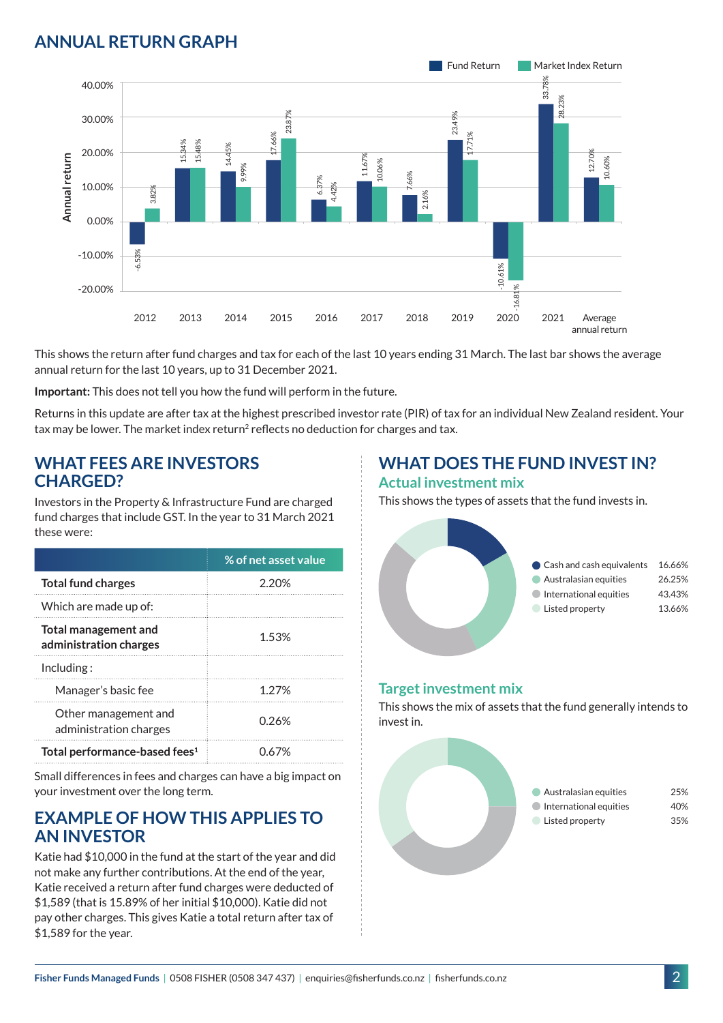## **ANNUAL RETURN GRAPH**



This shows the return after fund charges and tax for each of the last 10 years ending 31 March. The last bar shows the average annual return for the last 10 years, up to 31 December 2021.

**Important:** This does not tell you how the fund will perform in the future.

Returns in this update are after tax at the highest prescribed investor rate (PIR) of tax for an individual New Zealand resident. Your tax may be lower. The market index return<sup>2</sup> reflects no deduction for charges and tax.

#### **WHAT FEES ARE INVESTORS CHARGED?**

Investors in the Property & Infrastructure Fund are charged fund charges that include GST. In the year to 31 March 2021 these were:

|                                                       | % of net asset value |
|-------------------------------------------------------|----------------------|
| <b>Total fund charges</b>                             | 2.20%                |
| Which are made up of:                                 |                      |
| <b>Total management and</b><br>administration charges | 1.53%                |
| Inding:                                               |                      |
| Manager's basic fee                                   | 1 2 7 %              |
| Other management and<br>administration charges        | 0.26%                |
| Total performance-based fees <sup>1</sup>             | በ 67%                |

Small differences in fees and charges can have a big impact on your investment over the long term.

### **EXAMPLE OF HOW THIS APPLIES TO AN INVESTOR**

Katie had \$10,000 in the fund at the start of the year and did not make any further contributions. At the end of the year, Katie received a return after fund charges were deducted of \$1,589 (that is 15.89% of her initial \$10,000). Katie did not pay other charges. This gives Katie a total return after tax of \$1,589 for the year.

# **WHAT DOES THE FUND INVEST IN?**

#### **Actual investment mix**

This shows the types of assets that the fund invests in.



#### **Target investment mix**

This shows the mix of assets that the fund generally intends to invest in.